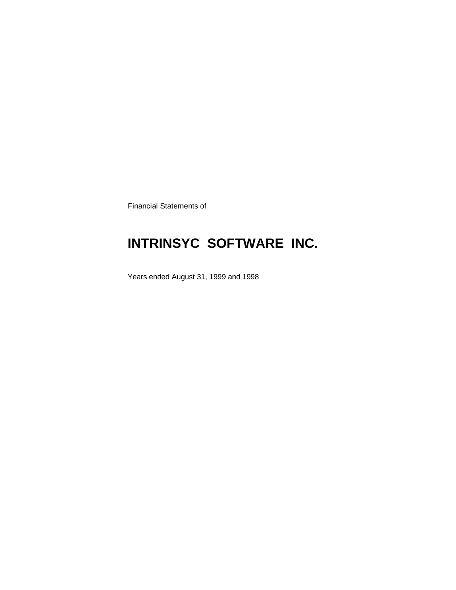Financial Statements of

# **INTRINSYC SOFTWARE INC.**

Years ended August 31, 1999 and 1998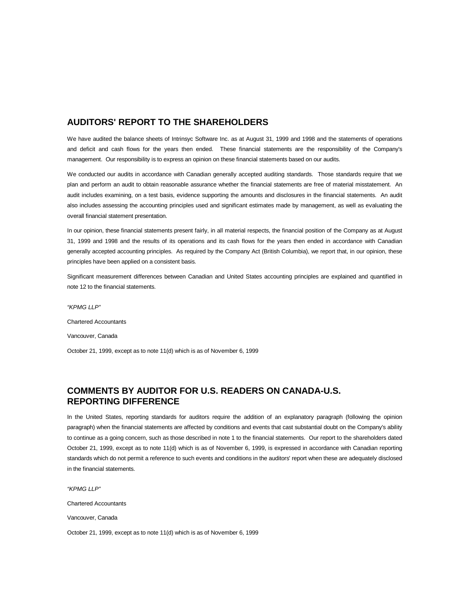### **AUDITORS' REPORT TO THE SHAREHOLDERS**

We have audited the balance sheets of Intrinsyc Software Inc. as at August 31, 1999 and 1998 and the statements of operations and deficit and cash flows for the years then ended. These financial statements are the responsibility of the Company's management. Our responsibility is to express an opinion on these financial statements based on our audits.

We conducted our audits in accordance with Canadian generally accepted auditing standards. Those standards require that we plan and perform an audit to obtain reasonable assurance whether the financial statements are free of material misstatement. An audit includes examining, on a test basis, evidence supporting the amounts and disclosures in the financial statements. An audit also includes assessing the accounting principles used and significant estimates made by management, as well as evaluating the overall financial statement presentation.

In our opinion, these financial statements present fairly, in all material respects, the financial position of the Company as at August 31, 1999 and 1998 and the results of its operations and its cash flows for the years then ended in accordance with Canadian generally accepted accounting principles. As required by the Company Act (British Columbia), we report that, in our opinion, these principles have been applied on a consistent basis.

Significant measurement differences between Canadian and United States accounting principles are explained and quantified in note 12 to the financial statements.

*"KPMG LLP"* Chartered Accountants Vancouver, Canada

October 21, 1999, except as to note 11(d) which is as of November 6, 1999

### **COMMENTS BY AUDITOR FOR U.S. READERS ON CANADA-U.S. REPORTING DIFFERENCE**

In the United States, reporting standards for auditors require the addition of an explanatory paragraph (following the opinion paragraph) when the financial statements are affected by conditions and events that cast substantial doubt on the Company's ability to continue as a going concern, such as those described in note 1 to the financial statements. Our report to the shareholders dated October 21, 1999, except as to note 11(d) which is as of November 6, 1999, is expressed in accordance with Canadian reporting standards which do not permit a reference to such events and conditions in the auditors' report when these are adequately disclosed in the financial statements.

*"KPMG LLP"*

Chartered Accountants

Vancouver, Canada

October 21, 1999, except as to note 11(d) which is as of November 6, 1999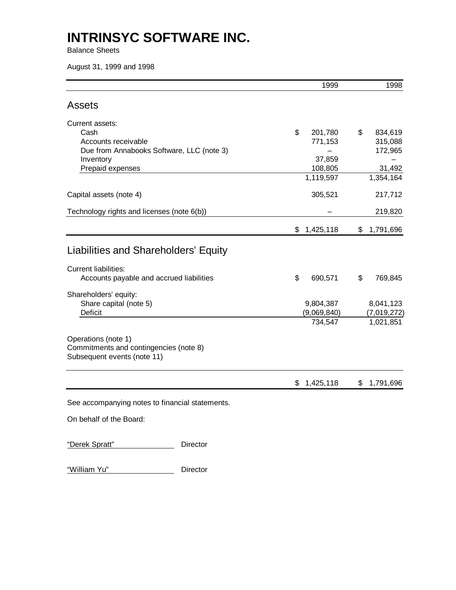Balance Sheets

August 31, 1999 and 1998

|                                                                                              | 1999            | 1998            |
|----------------------------------------------------------------------------------------------|-----------------|-----------------|
| <b>Assets</b>                                                                                |                 |                 |
| Current assets:                                                                              |                 |                 |
| Cash                                                                                         | \$<br>201,780   | \$<br>834,619   |
| Accounts receivable                                                                          | 771,153         | 315,088         |
| Due from Annabooks Software, LLC (note 3)                                                    |                 | 172,965         |
| Inventory                                                                                    | 37,859          |                 |
| Prepaid expenses                                                                             | 108,805         | 31,492          |
|                                                                                              | 1,119,597       | 1,354,164       |
| Capital assets (note 4)                                                                      | 305,521         | 217,712         |
| Technology rights and licenses (note 6(b))                                                   |                 | 219,820         |
|                                                                                              | \$<br>1,425,118 | \$<br>1,791,696 |
| Liabilities and Shareholders' Equity                                                         |                 |                 |
| <b>Current liabilities:</b>                                                                  |                 |                 |
| Accounts payable and accrued liabilities                                                     | \$<br>690,571   | \$<br>769,845   |
| Shareholders' equity:                                                                        |                 |                 |
| Share capital (note 5)                                                                       | 9,804,387       | 8,041,123       |
| <b>Deficit</b>                                                                               | (9,069,840)     | (7,019,272)     |
|                                                                                              | 734,547         | 1,021,851       |
| Operations (note 1)<br>Commitments and contingencies (note 8)<br>Subsequent events (note 11) |                 |                 |
|                                                                                              | \$<br>1,425,118 | \$<br>1,791,696 |
| See accompanying notes to financial statements.                                              |                 |                 |
| On behalf of the Board:                                                                      |                 |                 |
| "Derek Spratt"<br>Director                                                                   |                 |                 |

"William Yu" Director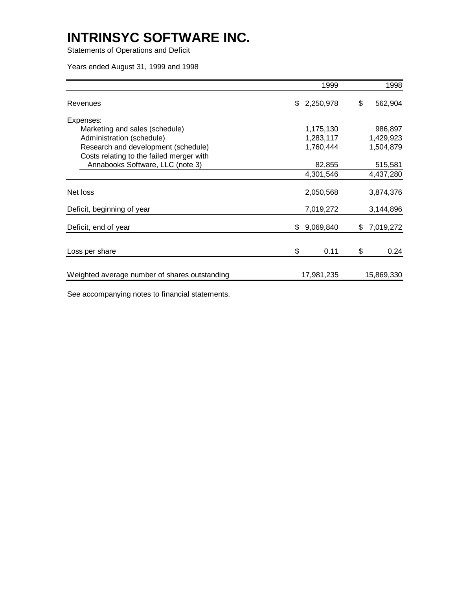Statements of Operations and Deficit

Years ended August 31, 1999 and 1998

| 1999            |                           | 1998       |
|-----------------|---------------------------|------------|
|                 | \$                        | 562,904    |
|                 |                           |            |
| 1,175,130       |                           | 986,897    |
| 1,283,117       |                           | 1,429,923  |
| 1,760,444       |                           | 1,504,879  |
|                 |                           |            |
| 82,855          |                           | 515,581    |
| 4,301,546       |                           | 4,437,280  |
| 2,050,568       |                           | 3,874,376  |
| 7,019,272       |                           | 3,144,896  |
| \$<br>9,069,840 | \$                        | 7,019,272  |
| \$<br>0.11      | \$                        | 0.24       |
|                 |                           | 15,869,330 |
|                 | \$2,250,978<br>17,981,235 |            |

See accompanying notes to financial statements.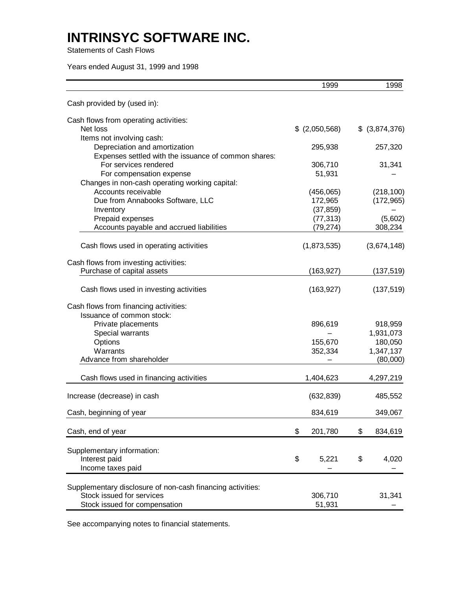Statements of Cash Flows

Years ended August 31, 1999 and 1998

| Cash provided by (used in):<br>Cash flows from operating activities:<br>Net loss<br>$$$ (2,050,568)<br>\$ (3,874,376)<br>Items not involving cash:<br>Depreciation and amortization<br>295,938<br>Expenses settled with the issuance of common shares: | 257,320<br>31,341 |
|--------------------------------------------------------------------------------------------------------------------------------------------------------------------------------------------------------------------------------------------------------|-------------------|
|                                                                                                                                                                                                                                                        |                   |
|                                                                                                                                                                                                                                                        |                   |
|                                                                                                                                                                                                                                                        |                   |
|                                                                                                                                                                                                                                                        |                   |
|                                                                                                                                                                                                                                                        |                   |
|                                                                                                                                                                                                                                                        |                   |
| For services rendered<br>306,710                                                                                                                                                                                                                       |                   |
| 51,931<br>For compensation expense                                                                                                                                                                                                                     |                   |
| Changes in non-cash operating working capital:                                                                                                                                                                                                         |                   |
| Accounts receivable<br>(456,065)                                                                                                                                                                                                                       | (218, 100)        |
| Due from Annabooks Software, LLC<br>172,965                                                                                                                                                                                                            | (172, 965)        |
| (37, 859)<br>Inventory                                                                                                                                                                                                                                 |                   |
| Prepaid expenses<br>(77, 313)                                                                                                                                                                                                                          | (5,602)           |
| Accounts payable and accrued liabilities<br>(79,274)                                                                                                                                                                                                   | 308,234           |
| (1,873,535)<br>(3,674,148)<br>Cash flows used in operating activities                                                                                                                                                                                  |                   |
| Cash flows from investing activities:                                                                                                                                                                                                                  |                   |
| Purchase of capital assets<br>(163, 927)                                                                                                                                                                                                               | (137, 519)        |
| Cash flows used in investing activities<br>(163, 927)                                                                                                                                                                                                  | (137, 519)        |
| Cash flows from financing activities:                                                                                                                                                                                                                  |                   |
| Issuance of common stock:                                                                                                                                                                                                                              |                   |
| Private placements<br>896,619                                                                                                                                                                                                                          | 918,959           |
| 1,931,073<br>Special warrants                                                                                                                                                                                                                          |                   |
| Options<br>155,670                                                                                                                                                                                                                                     | 180,050           |
| Warrants<br>352,334<br>1,347,137                                                                                                                                                                                                                       |                   |
| Advance from shareholder                                                                                                                                                                                                                               | (80,000)          |
| Cash flows used in financing activities<br>1,404,623<br>4,297,219                                                                                                                                                                                      |                   |
| Increase (decrease) in cash<br>(632, 839)                                                                                                                                                                                                              | 485,552           |
| 834,619<br>Cash, beginning of year                                                                                                                                                                                                                     | 349,067           |
| \$<br>201,780<br>Cash, end of year<br>\$                                                                                                                                                                                                               | 834,619           |
|                                                                                                                                                                                                                                                        |                   |
| Supplementary information:                                                                                                                                                                                                                             |                   |
| Interest paid<br>\$<br>5,221<br>\$                                                                                                                                                                                                                     | 4,020             |
| Income taxes paid                                                                                                                                                                                                                                      |                   |
| Supplementary disclosure of non-cash financing activities:                                                                                                                                                                                             |                   |
| Stock issued for services<br>306,710                                                                                                                                                                                                                   | 31,341            |
| Stock issued for compensation<br>51,931                                                                                                                                                                                                                |                   |

See accompanying notes to financial statements.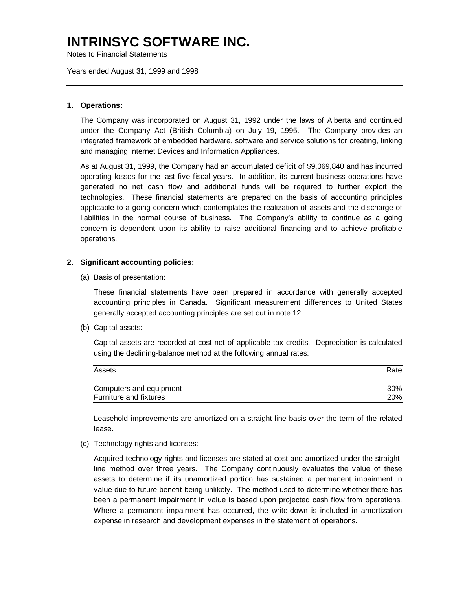Notes to Financial Statements

Years ended August 31, 1999 and 1998

#### **1. Operations:**

The Company was incorporated on August 31, 1992 under the laws of Alberta and continued under the Company Act (British Columbia) on July 19, 1995. The Company provides an integrated framework of embedded hardware, software and service solutions for creating, linking and managing Internet Devices and Information Appliances.

As at August 31, 1999, the Company had an accumulated deficit of \$9,069,840 and has incurred operating losses for the last five fiscal years. In addition, its current business operations have generated no net cash flow and additional funds will be required to further exploit the technologies. These financial statements are prepared on the basis of accounting principles applicable to a going concern which contemplates the realization of assets and the discharge of liabilities in the normal course of business. The Company's ability to continue as a going concern is dependent upon its ability to raise additional financing and to achieve profitable operations.

### **2. Significant accounting policies:**

(a) Basis of presentation:

These financial statements have been prepared in accordance with generally accepted accounting principles in Canada. Significant measurement differences to United States generally accepted accounting principles are set out in note 12.

(b) Capital assets:

Capital assets are recorded at cost net of applicable tax credits. Depreciation is calculated using the declining-balance method at the following annual rates:

| Assets                  | Rate       |
|-------------------------|------------|
| Computers and equipment | $30\%$     |
| Furniture and fixtures  | <b>20%</b> |

Leasehold improvements are amortized on a straight-line basis over the term of the related lease.

(c) Technology rights and licenses:

Acquired technology rights and licenses are stated at cost and amortized under the straightline method over three years. The Company continuously evaluates the value of these assets to determine if its unamortized portion has sustained a permanent impairment in value due to future benefit being unlikely. The method used to determine whether there has been a permanent impairment in value is based upon projected cash flow from operations. Where a permanent impairment has occurred, the write-down is included in amortization expense in research and development expenses in the statement of operations.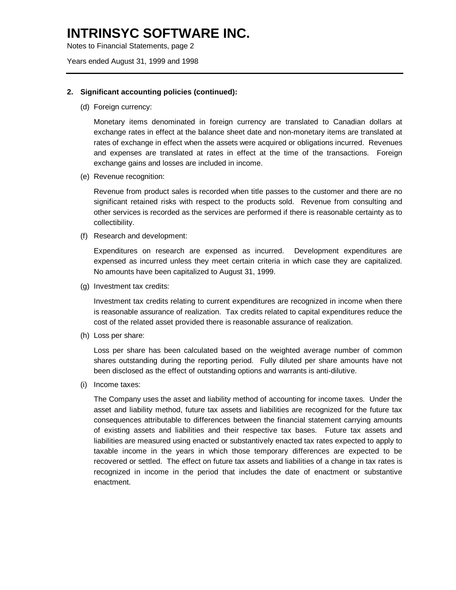Notes to Financial Statements, page 2

Years ended August 31, 1999 and 1998

#### **2. Significant accounting policies (continued):**

(d) Foreign currency:

Monetary items denominated in foreign currency are translated to Canadian dollars at exchange rates in effect at the balance sheet date and non-monetary items are translated at rates of exchange in effect when the assets were acquired or obligations incurred. Revenues and expenses are translated at rates in effect at the time of the transactions. Foreign exchange gains and losses are included in income.

(e) Revenue recognition:

Revenue from product sales is recorded when title passes to the customer and there are no significant retained risks with respect to the products sold. Revenue from consulting and other services is recorded as the services are performed if there is reasonable certainty as to collectibility.

(f) Research and development:

Expenditures on research are expensed as incurred. Development expenditures are expensed as incurred unless they meet certain criteria in which case they are capitalized. No amounts have been capitalized to August 31, 1999.

(g) Investment tax credits:

Investment tax credits relating to current expenditures are recognized in income when there is reasonable assurance of realization. Tax credits related to capital expenditures reduce the cost of the related asset provided there is reasonable assurance of realization.

(h) Loss per share:

Loss per share has been calculated based on the weighted average number of common shares outstanding during the reporting period. Fully diluted per share amounts have not been disclosed as the effect of outstanding options and warrants is anti-dilutive.

(i) Income taxes:

The Company uses the asset and liability method of accounting for income taxes. Under the asset and liability method, future tax assets and liabilities are recognized for the future tax consequences attributable to differences between the financial statement carrying amounts of existing assets and liabilities and their respective tax bases. Future tax assets and liabilities are measured using enacted or substantively enacted tax rates expected to apply to taxable income in the years in which those temporary differences are expected to be recovered or settled. The effect on future tax assets and liabilities of a change in tax rates is recognized in income in the period that includes the date of enactment or substantive enactment.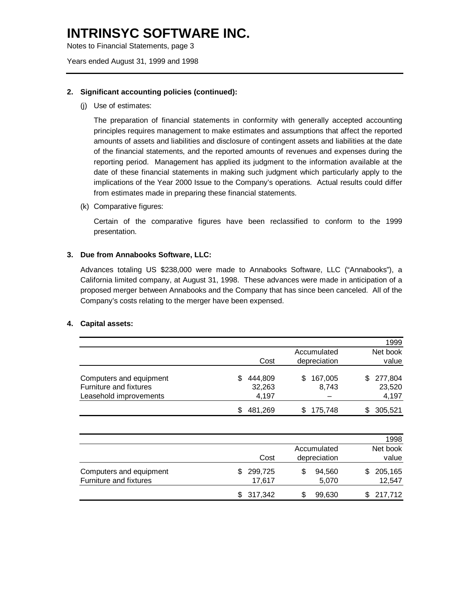Notes to Financial Statements, page 3

Years ended August 31, 1999 and 1998

#### **2. Significant accounting policies (continued):**

(j) Use of estimates:

The preparation of financial statements in conformity with generally accepted accounting principles requires management to make estimates and assumptions that affect the reported amounts of assets and liabilities and disclosure of contingent assets and liabilities at the date of the financial statements, and the reported amounts of revenues and expenses during the reporting period. Management has applied its judgment to the information available at the date of these financial statements in making such judgment which particularly apply to the implications of the Year 2000 Issue to the Company's operations. Actual results could differ from estimates made in preparing these financial statements.

(k) Comparative figures:

Certain of the comparative figures have been reclassified to conform to the 1999 presentation.

#### **3. Due from Annabooks Software, LLC:**

Advances totaling US \$238,000 were made to Annabooks Software, LLC ("Annabooks"), a California limited company, at August 31, 1998. These advances were made in anticipation of a proposed merger between Annabooks and the Company that has since been canceled. All of the Company's costs relating to the merger have been expensed.

#### **4. Capital assets:**

|         |                 | 1999            |
|---------|-----------------|-----------------|
|         | Accumulated     | Net book        |
| Cost    | depreciation    | value           |
| 444.809 | 167,005<br>SS   | 277,804<br>S.   |
|         |                 | 23,520<br>4,197 |
| 481,269 | 175,748         | 305,521         |
|         | 32,263<br>4,197 | 8,743           |

|                                                   |                   |                             |   | 1998              |
|---------------------------------------------------|-------------------|-----------------------------|---|-------------------|
|                                                   | Cost              | Accumulated<br>depreciation |   | Net book<br>value |
| Computers and equipment<br>Furniture and fixtures | 299,725<br>17,617 | 94,560<br>5,070             | S | 205,165<br>12,547 |
|                                                   | \$317,342         | 99,630                      |   | \$217,712         |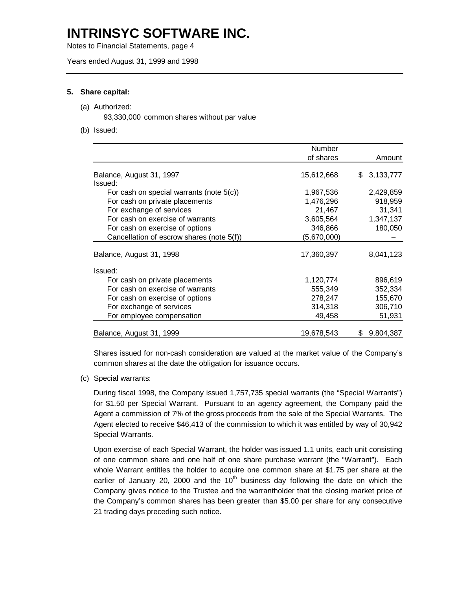Notes to Financial Statements, page 4

Years ended August 31, 1999 and 1998

#### **5. Share capital:**

#### (a) Authorized:

93,330,000 common shares without par value

(b) Issued:

|                                             | Number      |                  |
|---------------------------------------------|-------------|------------------|
|                                             | of shares   | Amount           |
|                                             |             |                  |
| Balance, August 31, 1997                    | 15,612,668  | 3,133,777<br>\$  |
| Issued:                                     |             |                  |
| For cash on special warrants (note $5(c)$ ) | 1,967,536   | 2,429,859        |
| For cash on private placements              | 1,476,296   | 918,959          |
| For exchange of services                    | 21,467      | 31,341           |
| For cash on exercise of warrants            | 3,605,564   | 1,347,137        |
| For cash on exercise of options             | 346,866     | 180,050          |
| Cancellation of escrow shares (note 5(f))   | (5,670,000) |                  |
| Balance, August 31, 1998                    | 17,360,397  | 8,041,123        |
| Issued:                                     |             |                  |
| For cash on private placements              | 1,120,774   | 896,619          |
| For cash on exercise of warrants            | 555,349     | 352,334          |
| For cash on exercise of options             | 278,247     | 155,670          |
| For exchange of services                    | 314,318     | 306,710          |
| For employee compensation                   | 49,458      | 51,931           |
| Balance, August 31, 1999                    | 19,678,543  | 9,804,387<br>\$. |

Shares issued for non-cash consideration are valued at the market value of the Company's common shares at the date the obligation for issuance occurs.

(c) Special warrants:

During fiscal 1998, the Company issued 1,757,735 special warrants (the "Special Warrants") for \$1.50 per Special Warrant. Pursuant to an agency agreement, the Company paid the Agent a commission of 7% of the gross proceeds from the sale of the Special Warrants. The Agent elected to receive \$46,413 of the commission to which it was entitled by way of 30,942 Special Warrants.

Upon exercise of each Special Warrant, the holder was issued 1.1 units, each unit consisting of one common share and one half of one share purchase warrant (the "Warrant"). Each whole Warrant entitles the holder to acquire one common share at \$1.75 per share at the earlier of January 20, 2000 and the  $10<sup>th</sup>$  business day following the date on which the Company gives notice to the Trustee and the warrantholder that the closing market price of the Company's common shares has been greater than \$5.00 per share for any consecutive 21 trading days preceding such notice.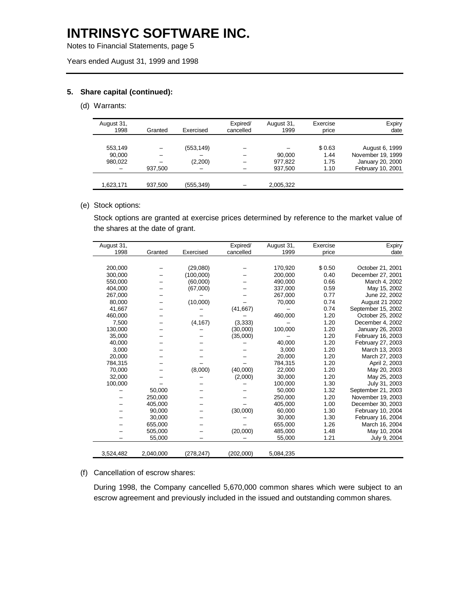Notes to Financial Statements, page 5

Years ended August 31, 1999 and 1998

### **5. Share capital (continued):**

#### (d) Warrants:

| August 31,<br>1998 | Granted | Exercised  | Expired/<br>cancelled | August 31,<br>1999 | Exercise<br>price | Expiry<br>date    |
|--------------------|---------|------------|-----------------------|--------------------|-------------------|-------------------|
|                    |         |            |                       |                    |                   |                   |
| 553,149            |         | (553, 149) |                       |                    | \$0.63            | August 6, 1999    |
| 90,000             |         |            |                       | 90.000             | 1.44              | November 19, 1999 |
| 980,022            |         | (2,200)    |                       | 977,822            | 1.75              | January 20, 2000  |
|                    | 937,500 |            |                       | 937,500            | 1.10              | February 10, 2001 |
|                    |         |            |                       |                    |                   |                   |
| 1,623,171          | 937,500 | (555, 349) |                       | 2,005,322          |                   |                   |

#### (e) Stock options:

Stock options are granted at exercise prices determined by reference to the market value of the shares at the date of grant.

| August 31, |           |           | Expired/  | August 31, | Exercise | Expiry             |
|------------|-----------|-----------|-----------|------------|----------|--------------------|
| 1998       | Granted   | Exercised | cancelled | 1999       | price    | date               |
|            |           |           |           |            |          |                    |
| 200,000    |           | (29,080)  |           | 170,920    | \$0.50   | October 21, 2001   |
| 300,000    |           | (100,000) |           | 200,000    | 0.40     | December 27, 2001  |
| 550.000    |           | (60,000)  |           | 490,000    | 0.66     | March 4, 2002      |
| 404,000    |           | (67,000)  |           | 337,000    | 0.59     | May 15, 2002       |
| 267,000    |           |           |           | 267,000    | 0.77     | June 22, 2002      |
| 80,000     |           | (10,000)  |           | 70,000     | 0.74     | August 21 2002     |
| 41,667     |           |           | (41, 667) |            | 0.74     | September 15, 2002 |
| 460,000    |           |           |           | 460,000    | 1.20     | October 25, 2002   |
| 7,500      |           | (4, 167)  | (3,333)   |            | 1.20     | December 4, 2002   |
| 130,000    |           |           | (30,000)  | 100,000    | 1.20     | January 26, 2003   |
| 35,000     |           |           | (35,000)  |            | 1.20     | February 16, 2003  |
| 40,000     |           |           |           | 40,000     | 1.20     | February 27, 2003  |
| 3,000      |           |           |           | 3,000      | 1.20     | March 13, 2003     |
| 20,000     |           |           |           | 20,000     | 1.20     | March 27, 2003     |
| 784,315    |           |           |           | 784,315    | 1.20     | April 2, 2003      |
| 70,000     |           | (8,000)   | (40,000)  | 22,000     | 1.20     | May 20, 2003       |
| 32,000     |           |           | (2,000)   | 30,000     | 1.20     | May 25, 2003       |
| 100,000    |           |           |           | 100,000    | 1.30     | July 31, 2003      |
|            | 50,000    |           |           | 50,000     | 1.32     | September 21, 2003 |
|            | 250,000   |           |           | 250,000    | 1.20     | November 19, 2003  |
|            | 405,000   |           |           | 405,000    | 1.00     | December 30, 2003  |
|            | 90,000    |           | (30,000)  | 60,000     | 1.30     | February 10, 2004  |
|            | 30,000    |           |           | 30,000     | 1.30     | February 16, 2004  |
|            | 655,000   |           |           | 655,000    | 1.26     | March 16, 2004     |
|            | 505,000   |           | (20,000)  | 485,000    | 1.48     | May 10, 2004       |
|            | 55,000    |           |           | 55,000     | 1.21     | July 9, 2004       |
|            |           |           |           |            |          |                    |
| 3,524,482  | 2,040,000 | (278,247) | (202,000) | 5,084,235  |          |                    |

#### (f) Cancellation of escrow shares:

During 1998, the Company cancelled 5,670,000 common shares which were subject to an escrow agreement and previously included in the issued and outstanding common shares.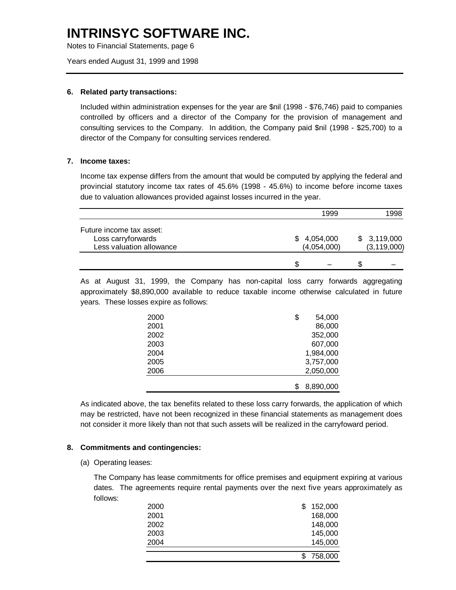Notes to Financial Statements, page 6

Years ended August 31, 1999 and 1998

#### **6. Related party transactions:**

Included within administration expenses for the year are \$nil (1998 - \$76,746) paid to companies controlled by officers and a director of the Company for the provision of management and consulting services to the Company. In addition, the Company paid \$nil (1998 - \$25,700) to a director of the Company for consulting services rendered.

#### **7. Income taxes:**

Income tax expense differs from the amount that would be computed by applying the federal and provincial statutory income tax rates of 45.6% (1998 - 45.6%) to income before income taxes due to valuation allowances provided against losses incurred in the year.

|                                                                            | 1999                       | 1998                         |
|----------------------------------------------------------------------------|----------------------------|------------------------------|
| Future income tax asset:<br>Loss carryforwards<br>Less valuation allowance | \$4,054,000<br>(4,054,000) | \$3,119,000<br>(3, 119, 000) |
|                                                                            | S                          |                              |

As at August 31, 1999, the Company has non-capital loss carry forwards aggregating approximately \$8,890,000 available to reduce taxable income otherwise calculated in future years. These losses expire as follows:

| 2000 | \$<br>54,000 |
|------|--------------|
| 2001 | 86,000       |
| 2002 | 352,000      |
| 2003 | 607,000      |
| 2004 | 1,984,000    |
| 2005 | 3,757,000    |
| 2006 | 2,050,000    |
|      |              |
|      | 8,890,000    |

As indicated above, the tax benefits related to these loss carry forwards, the application of which may be restricted, have not been recognized in these financial statements as management does not consider it more likely than not that such assets will be realized in the carryfoward period.

### **8. Commitments and contingencies:**

(a) Operating leases:

The Company has lease commitments for office premises and equipment expiring at various dates. The agreements require rental payments over the next five years approximately as follows:

| 2000 | \$. | 152,000   |
|------|-----|-----------|
| 2001 |     | 168,000   |
| 2002 |     | 148,000   |
| 2003 |     | 145,000   |
| 2004 |     | 145,000   |
|      |     |           |
|      |     | \$758,000 |
|      |     |           |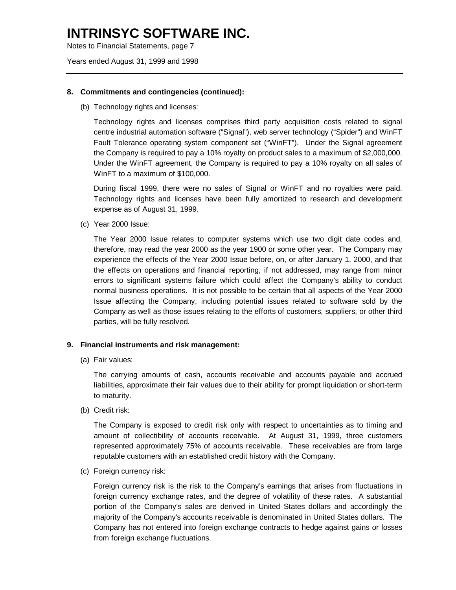Notes to Financial Statements, page 7

Years ended August 31, 1999 and 1998

#### **8. Commitments and contingencies (continued):**

(b) Technology rights and licenses:

Technology rights and licenses comprises third party acquisition costs related to signal centre industrial automation software ("Signal"), web server technology ("Spider") and WinFT Fault Tolerance operating system component set ("WinFT"). Under the Signal agreement the Company is required to pay a 10% royalty on product sales to a maximum of \$2,000,000. Under the WinFT agreement, the Company is required to pay a 10% royalty on all sales of WinFT to a maximum of \$100,000.

During fiscal 1999, there were no sales of Signal or WinFT and no royalties were paid. Technology rights and licenses have been fully amortized to research and development expense as of August 31, 1999.

(c) Year 2000 Issue:

The Year 2000 Issue relates to computer systems which use two digit date codes and, therefore, may read the year 2000 as the year 1900 or some other year. The Company may experience the effects of the Year 2000 Issue before, on, or after January 1, 2000, and that the effects on operations and financial reporting, if not addressed, may range from minor errors to significant systems failure which could affect the Company's ability to conduct normal business operations. It is not possible to be certain that all aspects of the Year 2000 Issue affecting the Company, including potential issues related to software sold by the Company as well as those issues relating to the efforts of customers, suppliers, or other third parties, will be fully resolved.

#### **9. Financial instruments and risk management:**

(a) Fair values:

The carrying amounts of cash, accounts receivable and accounts payable and accrued liabilities, approximate their fair values due to their ability for prompt liquidation or short-term to maturity.

(b) Credit risk:

The Company is exposed to credit risk only with respect to uncertainties as to timing and amount of collectibility of accounts receivable. At August 31, 1999, three customers represented approximately 75% of accounts receivable. These receivables are from large reputable customers with an established credit history with the Company.

(c) Foreign currency risk:

Foreign currency risk is the risk to the Company's earnings that arises from fluctuations in foreign currency exchange rates, and the degree of volatility of these rates. A substantial portion of the Company's sales are derived in United States dollars and accordingly the majority of the Company's accounts receivable is denominated in United States dollars. The Company has not entered into foreign exchange contracts to hedge against gains or losses from foreign exchange fluctuations.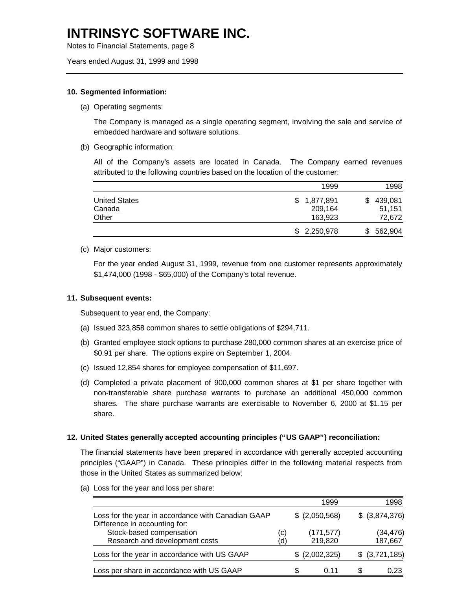Notes to Financial Statements, page 8

Years ended August 31, 1999 and 1998

#### **10. Segmented information:**

(a) Operating segments:

The Company is managed as a single operating segment, involving the sale and service of embedded hardware and software solutions.

(b) Geographic information:

All of the Company's assets are located in Canada. The Company earned revenues attributed to the following countries based on the location of the customer:

|                                         | 1999                                  | 1998                              |
|-----------------------------------------|---------------------------------------|-----------------------------------|
| <b>United States</b><br>Canada<br>Other | 1,877,891<br>\$<br>209,164<br>163.923 | 439,081<br>S.<br>51.151<br>72,672 |
|                                         | \$2,250,978                           | 562,904<br>S.                     |

#### (c) Major customers:

For the year ended August 31, 1999, revenue from one customer represents approximately \$1,474,000 (1998 - \$65,000) of the Company's total revenue.

#### **11. Subsequent events:**

Subsequent to year end, the Company:

- (a) Issued 323,858 common shares to settle obligations of \$294,711.
- (b) Granted employee stock options to purchase 280,000 common shares at an exercise price of \$0.91 per share. The options expire on September 1, 2004.
- (c) Issued 12,854 shares for employee compensation of \$11,697.
- (d) Completed a private placement of 900,000 common shares at \$1 per share together with non-transferable share purchase warrants to purchase an additional 450,000 common shares. The share purchase warrants are exercisable to November 6, 2000 at \$1.15 per share.

### **12. United States generally accepted accounting principles ("US GAAP") reconciliation:**

The financial statements have been prepared in accordance with generally accepted accounting principles ("GAAP") in Canada. These principles differ in the following material respects from those in the United States as summarized below:

(a) Loss for the year and loss per share:

|                                                                                     |           |   | 1999                  |   | 1998                 |
|-------------------------------------------------------------------------------------|-----------|---|-----------------------|---|----------------------|
| Loss for the year in accordance with Canadian GAAP<br>Difference in accounting for: |           |   | $$$ (2,050,568)       |   | $$$ (3,874,376)      |
| Stock-based compensation<br>Research and development costs                          | (C)<br>d) |   | (171, 577)<br>219,820 |   | (34, 476)<br>187,667 |
| Loss for the year in accordance with US GAAP                                        |           |   | \$ (2,002,325)        |   | $$$ $(3,721,185)$    |
| Loss per share in accordance with US GAAP                                           |           | S | በ 11                  | S | 0.23                 |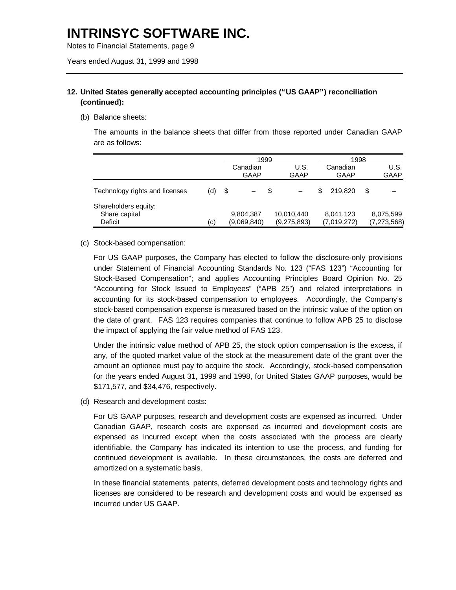Notes to Financial Statements, page 9

Years ended August 31, 1999 and 1998

### **12. United States generally accepted accounting principles ("US GAAP") reconciliation (continued):**

(b) Balance sheets:

The amounts in the balance sheets that differ from those reported under Canadian GAAP are as follows:

|                                                  |     |      | 1999                     |    |                           |   | 1998                     |   |                            |
|--------------------------------------------------|-----|------|--------------------------|----|---------------------------|---|--------------------------|---|----------------------------|
|                                                  |     |      | Canadian<br>GAAP         |    | U.S.<br>GAAP              |   | Canadian<br>GAAP         |   | U.S.<br><b>GAAP</b>        |
| Technology rights and licenses                   | (d) | - \$ |                          | -S |                           | S | 219.820                  | S |                            |
| Shareholders equity:<br>Share capital<br>Deficit | (c) |      | 9,804,387<br>(9,069,840) |    | 10,010,440<br>(9,275,893) |   | 8,041,123<br>(7,019,272) |   | 8,075,599<br>(7, 273, 568) |

#### (c) Stock-based compensation:

For US GAAP purposes, the Company has elected to follow the disclosure-only provisions under Statement of Financial Accounting Standards No. 123 ("FAS 123") "Accounting for Stock-Based Compensation"; and applies Accounting Principles Board Opinion No. 25 "Accounting for Stock Issued to Employees" ("APB 25") and related interpretations in accounting for its stock-based compensation to employees. Accordingly, the Company's stock-based compensation expense is measured based on the intrinsic value of the option on the date of grant. FAS 123 requires companies that continue to follow APB 25 to disclose the impact of applying the fair value method of FAS 123.

Under the intrinsic value method of APB 25, the stock option compensation is the excess, if any, of the quoted market value of the stock at the measurement date of the grant over the amount an optionee must pay to acquire the stock. Accordingly, stock-based compensation for the years ended August 31, 1999 and 1998, for United States GAAP purposes, would be \$171,577, and \$34,476, respectively.

(d) Research and development costs:

For US GAAP purposes, research and development costs are expensed as incurred. Under Canadian GAAP, research costs are expensed as incurred and development costs are expensed as incurred except when the costs associated with the process are clearly identifiable, the Company has indicated its intention to use the process, and funding for continued development is available. In these circumstances, the costs are deferred and amortized on a systematic basis.

In these financial statements, patents, deferred development costs and technology rights and licenses are considered to be research and development costs and would be expensed as incurred under US GAAP.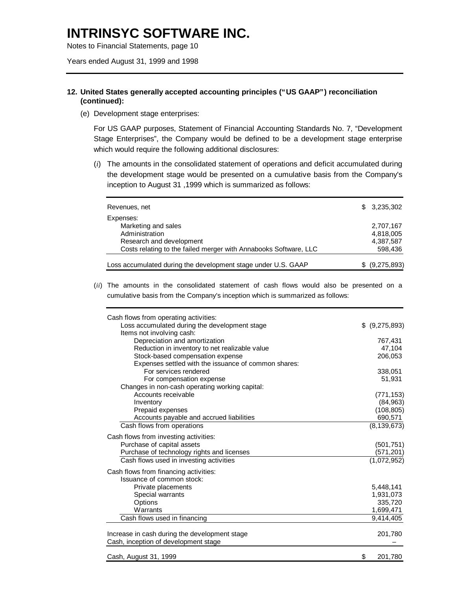Notes to Financial Statements, page 10

Years ended August 31, 1999 and 1998

### **12. United States generally accepted accounting principles ("US GAAP") reconciliation (continued):**

(e) Development stage enterprises:

For US GAAP purposes, Statement of Financial Accounting Standards No. 7, "Development Stage Enterprises", the Company would be defined to be a development stage enterprise which would require the following additional disclosures:

(*i*) The amounts in the consolidated statement of operations and deficit accumulated during the development stage would be presented on a cumulative basis from the Company's inception to August 31 ,1999 which is summarized as follows:

| Revenues, net                                                                                                                     |     | \$3,235,302                         |
|-----------------------------------------------------------------------------------------------------------------------------------|-----|-------------------------------------|
| Expenses:<br>Marketing and sales<br>Administration<br>Research and development                                                    |     | 2,707,167<br>4,818,005<br>4,387,587 |
| Costs relating to the failed merger with Annabooks Software, LLC<br>Loss accumulated during the development stage under U.S. GAAP | SS. | 598,436                             |
|                                                                                                                                   |     | (9,275,893)                         |

(*ii*) The amounts in the consolidated statement of cash flows would also be presented on a cumulative basis from the Company's inception which is summarized as follows:

| Cash flows from operating activities:<br>Loss accumulated during the development stage<br>Items not involving cash: | (9,275,893)<br>\$. |
|---------------------------------------------------------------------------------------------------------------------|--------------------|
| Depreciation and amortization                                                                                       | 767,431            |
| Reduction in inventory to net realizable value                                                                      | 47,104             |
| Stock-based compensation expense                                                                                    | 206,053            |
| Expenses settled with the issuance of common shares:                                                                |                    |
| For services rendered                                                                                               | 338,051            |
| For compensation expense                                                                                            | 51,931             |
| Changes in non-cash operating working capital:                                                                      |                    |
| Accounts receivable                                                                                                 | (771, 153)         |
| Inventory                                                                                                           | (84, 963)          |
| Prepaid expenses                                                                                                    | (108, 805)         |
| Accounts payable and accrued liabilities                                                                            | 690,571            |
| Cash flows from operations                                                                                          | (8, 139, 673)      |
| Cash flows from investing activities:                                                                               |                    |
| Purchase of capital assets                                                                                          | (501, 751)         |
| Purchase of technology rights and licenses                                                                          | (571, 201)         |
| Cash flows used in investing activities                                                                             | (1,072,952)        |
| Cash flows from financing activities:                                                                               |                    |
| Issuance of common stock:                                                                                           |                    |
| Private placements                                                                                                  | 5,448,141          |
| Special warrants                                                                                                    | 1,931,073          |
| Options                                                                                                             | 335,720            |
| Warrants                                                                                                            | 1,699,471          |
| Cash flows used in financing                                                                                        | 9,414,405          |
|                                                                                                                     |                    |
| Increase in cash during the development stage                                                                       | 201,780            |
| Cash, inception of development stage                                                                                |                    |
| Cash, August 31, 1999                                                                                               | \$<br>201,780      |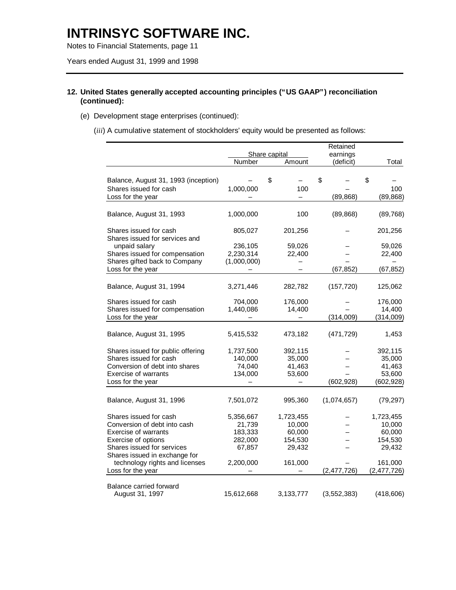Notes to Financial Statements, page 11

Years ended August 31, 1999 and 1998

### **12. United States generally accepted accounting principles ("US GAAP") reconciliation (continued):**

- (e) Development stage enterprises (continued):
	- (*iii*) A cumulative statement of stockholders' equity would be presented as follows:

|                                                          |             | Share capital            | Retained<br>earnings |    |             |
|----------------------------------------------------------|-------------|--------------------------|----------------------|----|-------------|
|                                                          | Number      | Amount                   | (deficit)            |    | Total       |
|                                                          |             |                          |                      |    |             |
| Balance, August 31, 1993 (inception)                     |             | \$                       | \$                   | \$ |             |
| Shares issued for cash                                   | 1,000,000   | 100                      |                      |    | 100         |
| Loss for the year                                        |             | $\overline{\phantom{0}}$ | (89, 868)            |    | (89, 868)   |
| Balance, August 31, 1993                                 | 1,000,000   | 100                      | (89, 868)            |    | (89, 768)   |
| Shares issued for cash<br>Shares issued for services and | 805,027     | 201,256                  |                      |    | 201,256     |
| unpaid salary                                            | 236,105     | 59,026                   |                      |    | 59,026      |
| Shares issued for compensation                           | 2,230,314   | 22,400                   |                      |    | 22,400      |
| Shares gifted back to Company                            | (1,000,000) |                          |                      |    |             |
| Loss for the year                                        |             |                          | (67, 852)            |    | (67, 852)   |
| Balance, August 31, 1994                                 | 3,271,446   | 282,782                  | (157, 720)           |    | 125,062     |
| Shares issued for cash                                   | 704,000     | 176,000                  |                      |    | 176,000     |
| Shares issued for compensation                           | 1,440,086   | 14,400                   |                      |    | 14,400      |
| Loss for the year                                        |             |                          | (314,009)            |    | (314,009)   |
| Balance, August 31, 1995                                 | 5,415,532   | 473,182                  | (471, 729)           |    | 1,453       |
| Shares issued for public offering                        | 1,737,500   | 392,115                  |                      |    | 392,115     |
| Shares issued for cash                                   | 140,000     | 35,000                   |                      |    | 35,000      |
| Conversion of debt into shares                           | 74,040      | 41,463                   |                      |    | 41,463      |
| <b>Exercise of warrants</b>                              | 134,000     | 53,600                   |                      |    | 53,600      |
| Loss for the year                                        |             | —                        | (602, 928)           |    | (602, 928)  |
| Balance, August 31, 1996                                 | 7,501,072   | 995,360                  | (1,074,657)          |    | (79, 297)   |
| Shares issued for cash                                   | 5,356,667   | 1,723,455                |                      |    | 1,723,455   |
| Conversion of debt into cash                             | 21,739      | 10,000                   |                      |    | 10,000      |
| <b>Exercise of warrants</b>                              | 183,333     | 60,000                   |                      |    | 60,000      |
| Exercise of options                                      | 282,000     | 154,530                  |                      |    | 154,530     |
| Shares issued for services                               | 67,857      | 29,432                   |                      |    | 29,432      |
| Shares issued in exchange for                            |             |                          |                      |    |             |
| technology rights and licenses                           | 2,200,000   | 161,000                  |                      |    | 161,000     |
| Loss for the year                                        |             |                          | (2,477,726)          |    | (2,477,726) |
| Balance carried forward                                  |             |                          |                      |    |             |
| August 31, 1997                                          | 15,612,668  | 3, 133, 777              | (3, 552, 383)        |    | (418, 606)  |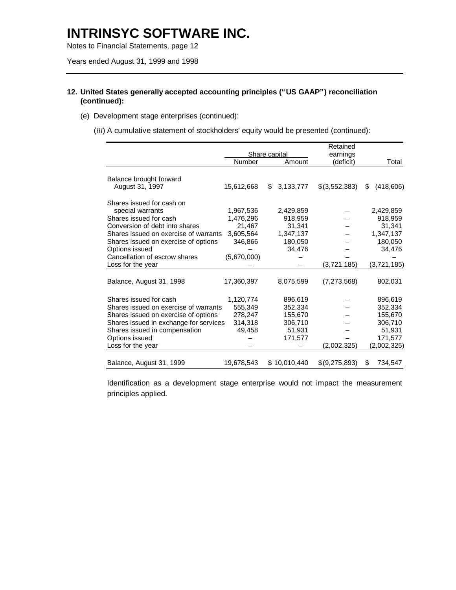Notes to Financial Statements, page 12

Years ended August 31, 1999 and 1998

### **12. United States generally accepted accounting principles ("US GAAP") reconciliation (continued):**

- (e) Development stage enterprises (continued):
	- (*iii*) A cumulative statement of stockholders' equity would be presented (continued):

|                                        |             |                      | Retained      |                  |  |  |
|----------------------------------------|-------------|----------------------|---------------|------------------|--|--|
|                                        |             | <b>Share capital</b> | earnings      |                  |  |  |
|                                        | Number      | Amount               | (deficit)     | Total            |  |  |
|                                        |             |                      |               |                  |  |  |
| Balance brought forward                |             |                      |               |                  |  |  |
| August 31, 1997                        | 15,612,668  | 3, 133, 777<br>\$    | \$(3,552,383) | (418, 606)<br>\$ |  |  |
| Shares issued for cash on              |             |                      |               |                  |  |  |
| special warrants                       | 1,967,536   | 2,429,859            |               | 2,429,859        |  |  |
| Shares issued for cash                 | 1,476,296   | 918,959              |               | 918,959          |  |  |
| Conversion of debt into shares         | 21,467      | 31,341               |               | 31,341           |  |  |
| Shares issued on exercise of warrants  | 3,605,564   | 1,347,137            |               | 1,347,137        |  |  |
| Shares issued on exercise of options   | 346,866     | 180,050              |               | 180,050          |  |  |
| Options issued                         |             | 34,476               |               | 34,476           |  |  |
| Cancellation of escrow shares          | (5,670,000) |                      |               |                  |  |  |
| Loss for the year                      |             |                      | (3,721,185)   | (3,721,185)      |  |  |
|                                        |             |                      |               |                  |  |  |
| Balance, August 31, 1998               | 17,360,397  | 8,075,599            | (7,273,568)   | 802,031          |  |  |
|                                        |             |                      |               |                  |  |  |
| Shares issued for cash                 | 1,120,774   | 896,619              |               | 896,619          |  |  |
| Shares issued on exercise of warrants  | 555,349     | 352,334              |               | 352,334          |  |  |
| Shares issued on exercise of options   | 278,247     | 155,670              |               | 155,670          |  |  |
| Shares issued in exchange for services | 314,318     | 306,710              |               | 306,710          |  |  |
| Shares issued in compensation          | 49,458      | 51,931               |               | 51,931           |  |  |
| Options issued                         |             | 171,577              |               | 171,577          |  |  |
| Loss for the year                      |             |                      | (2,002,325)   | (2,002,325)      |  |  |
|                                        |             |                      |               |                  |  |  |
| Balance, August 31, 1999               | 19,678,543  | \$10,010,440         | \$(9,275,893) | 734,547<br>S     |  |  |

Identification as a development stage enterprise would not impact the measurement principles applied.